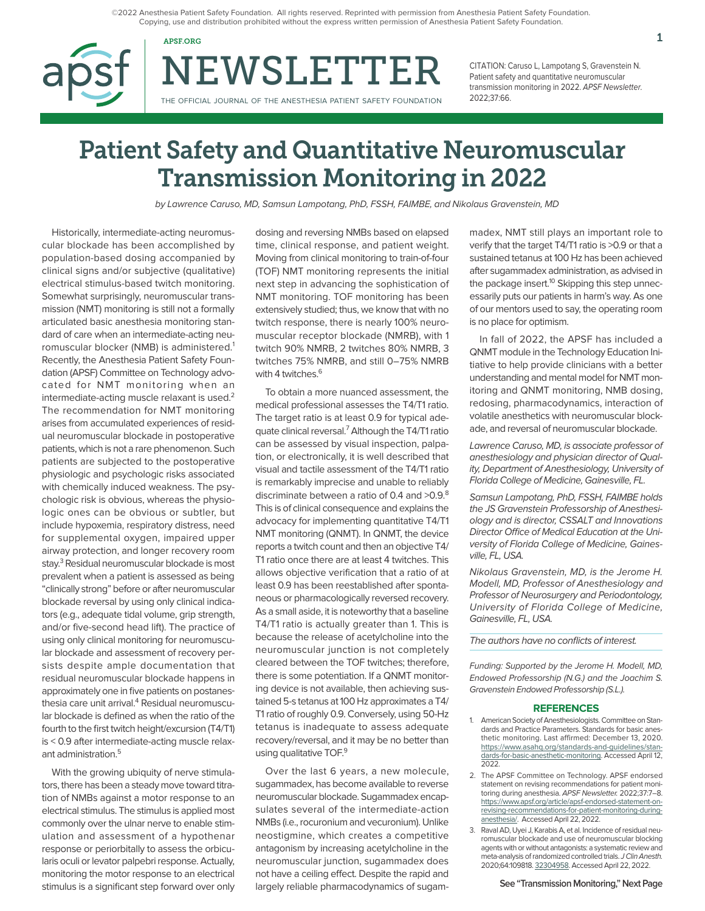©2022 Anesthesia Patient Safety Foundation. All rights reserved. Reprinted with permission from Anesthesia Patient Safety Foundation. Copying, use and distribution prohibited without the express written permission of Anesthesia Patient Safety Foundation.

NEWSLETTER APSF.ORG  $1$ 

THE OFFICIAL JOURNAL OF THE ANESTHESIA PATIENT SAFETY FOUNDATION

CITATION: Caruso L, Lampotang S, Gravenstein N. Patient safety and quantitative neuromuscular transmission monitoring in 2022. APSF Newsletter. 2022;37:66.

# Patient Safety and Quantitative Neuromuscular Transmission Monitoring in 2022

by Lawrence Caruso, MD, Samsun Lampotang, PhD, FSSH, FAIMBE, and Nikolaus Gravenstein, MD

Historically, intermediate-acting neuromuscular blockade has been accomplished by population-based dosing accompanied by clinical signs and/or subjective (qualitative) electrical stimulus-based twitch monitoring. Somewhat surprisingly, neuromuscular transmission (NMT) monitoring is still not a formally articulated basic anesthesia monitoring standard of care when an intermediate-acting neuromuscular blocker (NMB) is administered.1 Recently, the Anesthesia Patient Safety Foundation (APSF) Committee on Technology advocated for NMT monitoring when an intermediate-acting muscle relaxant is used. $2$ The recommendation for NMT monitoring arises from accumulated experiences of residual neuromuscular blockade in postoperative patients, which is not a rare phenomenon. Such patients are subjected to the postoperative physiologic and psychologic risks associated with chemically induced weakness. The psychologic risk is obvious, whereas the physiologic ones can be obvious or subtler, but include hypoxemia, respiratory distress, need for supplemental oxygen, impaired upper airway protection, and longer recovery room stay.<sup>3</sup> Residual neuromuscular blockade is most prevalent when a patient is assessed as being "clinically strong" before or after neuromuscular blockade reversal by using only clinical indicators (e.g., adequate tidal volume, grip strength, and/or five-second head lift). The practice of using only clinical monitoring for neuromuscular blockade and assessment of recovery persists despite ample documentation that residual neuromuscular blockade happens in approximately one in five patients on postanesthesia care unit arrival.<sup>4</sup> Residual neuromuscular blockade is defined as when the ratio of the fourth to the first twitch height/excursion (T4/T1) is < 0.9 after intermediate-acting muscle relaxant administration.<sup>5</sup>

With the growing ubiquity of nerve stimulators, there has been a steady move toward titration of NMBs against a motor response to an electrical stimulus. The stimulus is applied most commonly over the ulnar nerve to enable stimulation and assessment of a hypothenar response or periorbitally to assess the orbicularis oculi or levator palpebri response. Actually, monitoring the motor response to an electrical stimulus is a significant step forward over only

dosing and reversing NMBs based on elapsed time, clinical response, and patient weight. Moving from clinical monitoring to train-of-four (TOF) NMT monitoring represents the initial next step in advancing the sophistication of NMT monitoring. TOF monitoring has been extensively studied; thus, we know that with no twitch response, there is nearly 100% neuromuscular receptor blockade (NMRB), with 1 twitch 90% NMRB, 2 twitches 80% NMRB, 3 twitches 75% NMRB, and still 0–75% NMRB with 4 twitches.<sup>6</sup>

To obtain a more nuanced assessment, the medical professional assesses the T4/T1 ratio. The target ratio is at least 0.9 for typical adequate clinical reversal.<sup>7</sup> Although the T4/T1 ratio can be assessed by visual inspection, palpation, or electronically, it is well described that visual and tactile assessment of the T4/T1 ratio is remarkably imprecise and unable to reliably discriminate between a ratio of 0.4 and >0.9.8 This is of clinical consequence and explains the advocacy for implementing quantitative T4/T1 NMT monitoring (QNMT). In QNMT, the device reports a twitch count and then an objective T4/ T1 ratio once there are at least 4 twitches. This allows objective verification that a ratio of at least 0.9 has been reestablished after spontaneous or pharmacologically reversed recovery. As a small aside, it is noteworthy that a baseline T4/T1 ratio is actually greater than 1. This is because the release of acetylcholine into the neuromuscular junction is not completely cleared between the TOF twitches; therefore, there is some potentiation. If a QNMT monitoring device is not available, then achieving sustained 5-s tetanus at 100 Hz approximates a T4/ T1 ratio of roughly 0.9. Conversely, using 50-Hz tetanus is inadequate to assess adequate recovery/reversal, and it may be no better than using qualitative TOF.<sup>9</sup>

Over the last 6 years, a new molecule, sugammadex, has become available to reverse neuromuscular blockade. Sugammadex encapsulates several of the intermediate-action NMBs (i.e., rocuronium and vecuronium). Unlike neostigmine, which creates a competitive antagonism by increasing acetylcholine in the neuromuscular junction, sugammadex does not have a ceiling effect. Despite the rapid and largely reliable pharmacodynamics of sugammadex, NMT still plays an important role to verify that the target T4/T1 ratio is >0.9 or that a sustained tetanus at 100 Hz has been achieved after sugammadex administration, as advised in the package insert.<sup>10</sup> Skipping this step unnecessarily puts our patients in harm's way. As one of our mentors used to say, the operating room is no place for optimism.

In fall of 2022, the APSF has included a QNMT module in the Technology Education Initiative to help provide clinicians with a better understanding and mental model for NMT monitoring and QNMT monitoring, NMB dosing, redosing, pharmacodynamics, interaction of volatile anesthetics with neuromuscular blockade, and reversal of neuromuscular blockade.

Lawrence Caruso, MD, is associate professor of anesthesiology and physician director of Quality, Department of Anesthesiology, University of Florida College of Medicine, Gainesville, FL.

Samsun Lampotang, PhD, FSSH, FAIMBE holds the JS Gravenstein Professorship of Anesthesiology and is director, CSSALT and Innovations Director Office of Medical Education at the University of Florida College of Medicine, Gainesville, FL, USA.

Nikolaus Gravenstein, MD, is the Jerome H. Modell, MD, Professor of Anesthesiology and Professor of Neurosurgery and Periodontology, University of Florida College of Medicine, Gainesville, FL, USA.

The authors have no conflicts of interest.

Funding: Supported by the Jerome H. Modell, MD, Endowed Professorship (N.G.) and the Joachim S. Gravenstein Endowed Professorship (S.L.).

#### **REFERENCES**

- 1. American Society of Anesthesiologists. Committee on Standards and Practice Parameters. Standards for basic anesthetic monitoring. Last affirmed: December 13, 2020. [https://www.asahq.org/standards-and-guidelines/stan](https://www.asahq.org/standards-and-guidelines/standards-for-basic-anesthetic-monitoring)[dards-for-basic-anesthetic-monitoring.](https://www.asahq.org/standards-and-guidelines/standards-for-basic-anesthetic-monitoring) Accessed April 12, 2022.
- 2. The APSF Committee on Technology. APSF endorsed statement on revising recommendations for patient monitoring during anesthesia. APSF Newsletter. 2022;37:7–8. [https://www.apsf.org/article/apsf-endorsed-statement-on](https://www.apsf.org/article/apsf-endorsed-statement-on-revising-recommendations-for-patient-monitor)[revising-recommendations-for-patient-monitoring-during](https://www.apsf.org/article/apsf-endorsed-statement-on-revising-recommendations-for-patient-monitor)[anesthesia/](https://www.apsf.org/article/apsf-endorsed-statement-on-revising-recommendations-for-patient-monitor). Accessed April 22, 2022.
- 3. Raval AD, Uyei J, Karabis A, et al. Incidence of residual neuromuscular blockade and use of neuromuscular blocking agents with or without antagonists: a systematic review and meta-analysis of randomized controlled trials. J Clin Anesth. 2020;64:109818. [32304958.](https://pubmed.ncbi.nlm.nih.gov/32304958/) Accessed April 22, 2022.